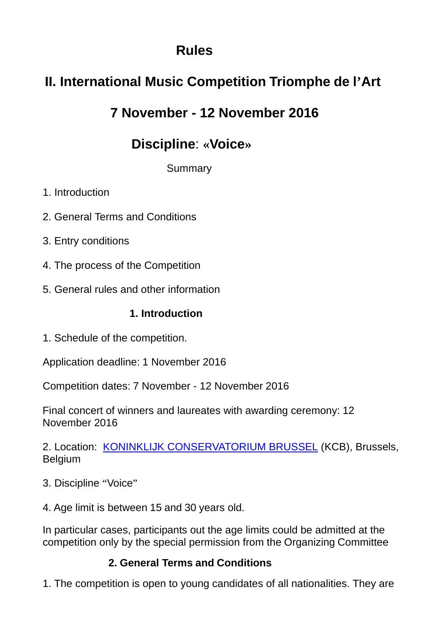### **Rules**

# **II. International Music Competition Triomphe de l'Art**

## **7 November - 12 November 2016**

## **Discipline**: **«Voice»**

**Summary** 

- 1. Introduction
- 2. General Terms and Conditions
- 3. Entry conditions
- 4. The process of the Competition
- 5. General rules and other information

### **1. Introduction**

1. Schedule of the competition.

Application deadline: 1 November 2016

Competition dates: 7 November - 12 November 2016

Final concert of winners and laureates with awarding ceremony: 12 November 2016

2. Location: KONINKLIJK CONSERVATORIUM BRUSSEL (KCB), Brussels, Belgium

- 3. Discipline "Voice"
- 4. Age limit is between 15 and 30 years old.

In particular cases, participants out the age limits could be admitted at the competition only by the special permission from the Organizing Committee

### **2. General Terms and Conditions**

1. The competition is open to young candidates of all nationalities. They are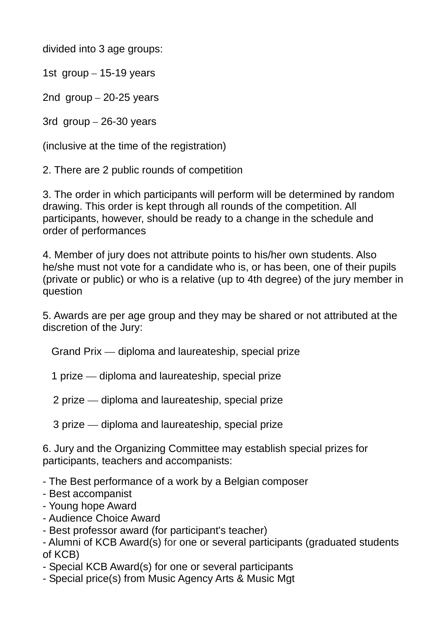divided into 3 age groups:

1st group – 15-19 years

2nd group – 20-25 years

3rd group – 26-30 years

(inclusive at the time of the registration)

2. There are 2 public rounds of competition

3. The order in which participants will perform will be determined by random drawing. This order is kept through all rounds of the competition. All participants, however, should be ready to a change in the schedule and order of performances

4. Member of jury does not attribute points to his/her own students. Also he/she must not vote for a candidate who is, or has been, one of their pupils (private or public) or who is a relative (up to 4th degree) of the jury member in question

5. Awards are per age group and they may be shared or not attributed at the discretion of the Jury:

Grand Prix — diploma and laureateship, special prize

1 prize — diploma and laureateship, special prize

2 prize — diploma and laureateship, special prize

3 prize — diploma and laureateship, special prize

6. Jury and the Organizing Committee may establish special prizes for participants, teachers and accompanists:

- The Best performance of a work by a Belgian composer

- Best accompanist

- Young hope Award
- Audience Choice Award
- Best professor award (for participant's teacher)

- Alumni of KCB Award(s) for one or several participants (graduated students of KCB)

- Special KCB Award(s) for one or several participants
- Special price(s) from Music Agency Arts & Music Mgt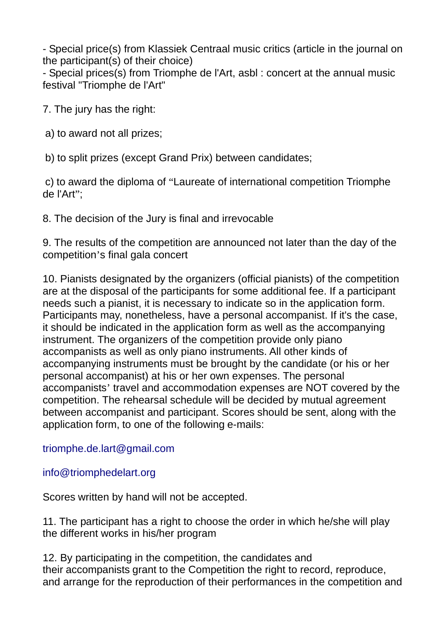- Special price(s) from Klassiek Centraal music critics (article in the journal on the participant(s) of their choice)

- Special prices(s) from Triomphe de l'Art, asbl : concert at the annual music festival "Triomphe de l'Art"

7. The jury has the right:

a) to award not all prizes;

b) to split prizes (except Grand Prix) between candidates;

c) to award the diploma of "Laureate of international competition Triomphe de l'Art";

8. The decision of the Jury is final and irrevocable

9. The results of the competition are announced not later than the day of the competition's final gala concert

10. Pianists designated by the organizers (official pianists) of the competition are at the disposal of the participants for some additional fee. If a participant needs such a pianist, it is necessary to indicate so in the application form. Participants may, nonetheless, have a personal accompanist. If it's the case, it should be indicated in the application form as well as the accompanying instrument. The organizers of the competition provide only piano accompanists as well as only piano instruments. All other kinds of accompanying instruments must be brought by the candidate (or his or her personal accompanist) at his or her own expenses. The personal accompanists' travel and accommodation expenses are NOT covered by the competition. The rehearsal schedule will be decided by mutual agreement between accompanist and participant. Scores should be sent, along with the application form, to one of the following e-mails:

triomphe.de.lart@gmail.com

info@triomphedelart.org

Scores written by hand will not be accepted.

11. The participant has a right to choose the order in which he/she will play the different works in his/her program

12. By participating in the competition, the candidates and their accompanists grant to the Competition the right to record, reproduce, and arrange for the reproduction of their performances in the competition and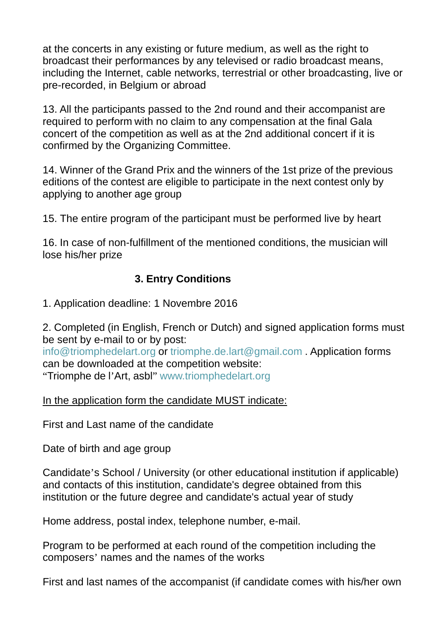at the concerts in any existing or future medium, as well as the right to broadcast their performances by any televised or radio broadcast means, including the Internet, cable networks, terrestrial or other broadcasting, live or pre-recorded, in Belgium or abroad

13. All the participants passed to the 2nd round and their accompanist are required to perform with no claim to any compensation at the final Gala concert of the competition as well as at the 2nd additional concert if it is confirmed by the Organizing Committee.

14. Winner of the Grand Prix and the winners of the 1st prize of the previous editions of the contest are eligible to participate in the next contest only by applying to another age group

15. The entire program of the participant must be performed live by heart

16. In case of non-fulfillment of the mentioned conditions, the musician will lose his/her prize

#### **3. Entry Conditions**

1. Application deadline: 1 Novembre 2016

2. Completed (in English, French or Dutch) and signed application forms must be sent by e-mail to or by post:

info@triomphedelart.org or triomphe.de.lart@gmail.com . Application forms can be downloaded at the competition website: "Triomphe de l'Art, asbl" www.triomphedelart.org

In the application form the candidate MUST indicate:

First and Last name of the candidate

Date of birth and age group

Candidate's School / University (or other educational institution if applicable) and contacts of this institution, candidate's degree obtained from this institution or the future degree and candidate's actual year of study

Home address, postal index, telephone number, e-mail.

Program to be performed at each round of the competition including the composers' names and the names of the works

First and last names of the accompanist (if candidate comes with his/her own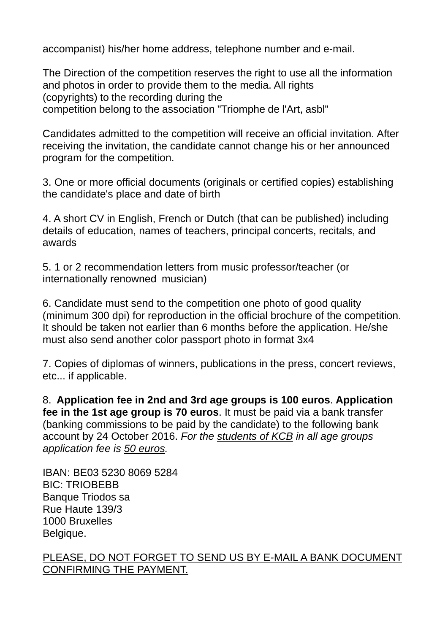accompanist) his/her home address, telephone number and e-mail.

The Direction of the competition reserves the right to use all the information and photos in order to provide them to the media. All rights (copyrights) to the recording during the competition belong to the association "Triomphe de l'Art, asbl"

Candidates admitted to the competition will receive an official invitation. After receiving the invitation, the candidate cannot change his or her announced program for the competition.

3. One or more official documents (originals or certified copies) establishing the candidate's place and date of birth

4. A short CV in English, French or Dutch (that can be published) including details of education, names of teachers, principal concerts, recitals, and awards

5. 1 or 2 recommendation letters from music professor/teacher (or internationally renowned musician)

6. Candidate must send to the competition one photo of good quality (minimum 300 dpi) for reproduction in the official brochure of the competition. It should be taken not earlier than 6 months before the application. He/she must also send another color passport photo in format 3x4

7. Copies of diplomas of winners, publications in the press, concert reviews, etc... if applicable.

8. **Application fee in 2nd and 3rd age groups is 100 euros**. **Application fee in the 1st age group is 70 euros**. It must be paid via a bank transfer (banking commissions to be paid by the candidate) to the following bank account by 24 October 2016. *For the students of KCB in all age groups application fee is 50 euros.*

IBAN: BE03 5230 8069 5284 BIC: TRIOBEBB Banque Triodos sa Rue Haute 139/3 1000 Bruxelles Belgique.

#### PLEASE, DO NOT FORGET TO SEND US BY E-MAIL A BANK DOCUMENT CONFIRMING THE PAYMENT.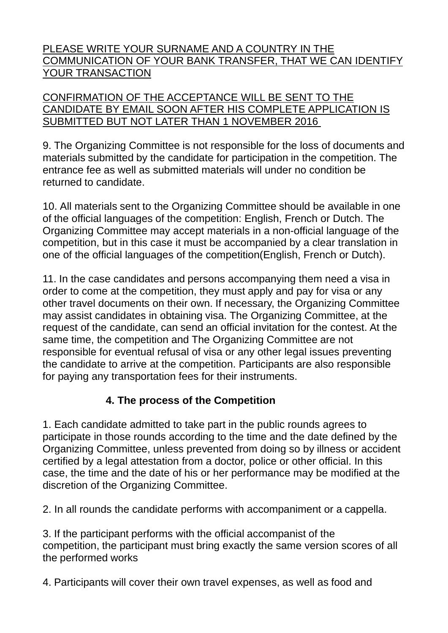#### PLEASE WRITE YOUR SURNAME AND A COUNTRY IN THE COMMUNICATION OF YOUR BANK TRANSFER, THAT WE CAN IDENTIFY YOUR TRANSACTION

#### CONFIRMATION OF THE ACCEPTANCE WILL BE SENT TO THE CANDIDATE BY EMAIL SOON AFTER HIS COMPLETE APPLICATION IS SUBMITTED BUT NOT LATER THAN 1 NOVEMBER 2016

9. The Organizing Committee is not responsible for the loss of documents and materials submitted by the candidate for participation in the competition. The entrance fee as well as submitted materials will under no condition be returned to candidate.

10. All materials sent to the Organizing Committee should be available in one of the official languages of the competition: English, French or Dutch. The Organizing Committee may accept materials in a non-official language of the competition, but in this case it must be accompanied by a clear translation in one of the official languages of the competition(English, French or Dutch).

11. In the case candidates and persons accompanying them need a visa in order to come at the competition, they must apply and pay for visa or any other travel documents on their own. If necessary, the Organizing Committee may assist candidates in obtaining visa. The Organizing Committee, at the request of the candidate, can send an official invitation for the contest. At the same time, the competition and The Organizing Committee are not responsible for eventual refusal of visa or any other legal issues preventing the candidate to arrive at the competition. Participants are also responsible for paying any transportation fees for their instruments.

### **4. The process of the Competition**

1. Each candidate admitted to take part in the public rounds agrees to participate in those rounds according to the time and the date defined by the Organizing Committee, unless prevented from doing so by illness or accident certified by a legal attestation from a doctor, police or other official. In this case, the time and the date of his or her performance may be modified at the discretion of the Organizing Committee.

2. In all rounds the candidate performs with accompaniment or a cappella.

3. If the participant performs with the official accompanist of the competition, the participant must bring exactly the same version scores of all the performed works

4. Participants will cover their own travel expenses, as well as food and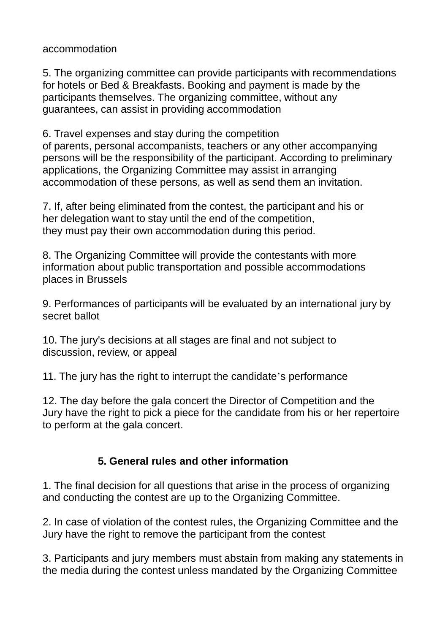accommodation

5. The organizing committee can provide participants with recommendations for hotels or Bed & Breakfasts. Booking and payment is made by the participants themselves. The organizing committee, without any guarantees, can assist in providing accommodation

6. Travel expenses and stay during the competition of parents, personal accompanists, teachers or any other accompanying persons will be the responsibility of the participant. According to preliminary applications, the Organizing Committee may assist in arranging accommodation of these persons, as well as send them an invitation.

7. If, after being eliminated from the contest, the participant and his or her delegation want to stay until the end of the competition, they must pay their own accommodation during this period.

8. The Organizing Committee will provide the contestants with more information about public transportation and possible accommodations places in Brussels

9. Performances of participants will be evaluated by an international jury by secret ballot

10. The jury's decisions at all stages are final and not subject to discussion, review, or appeal

11. The jury has the right to interrupt the candidate's performance

12. The day before the gala concert the Director of Competition and the Jury have the right to pick a piece for the candidate from his or her repertoire to perform at the gala concert.

#### **5. General rules and other information**

1. The final decision for all questions that arise in the process of organizing and conducting the contest are up to the Organizing Committee.

2. In case of violation of the contest rules, the Organizing Committee and the Jury have the right to remove the participant from the contest

3. Participants and jury members must abstain from making any statements in the media during the contest unless mandated by the Organizing Committee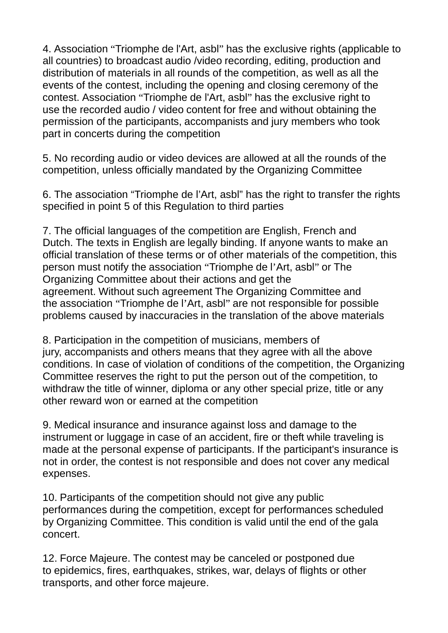4. Association "Triomphe de l'Art, asbl" has the exclusive rights (applicable to all countries) to broadcast audio /video recording, editing, production and distribution of materials in all rounds of the competition, as well as all the events of the contest, including the opening and closing ceremony of the contest. Association "Triomphe de l'Art, asbl" has the exclusive right to use the recorded audio / video content for free and without obtaining the permission of the participants, accompanists and jury members who took part in concerts during the competition

5. No recording audio or video devices are allowed at all the rounds of the competition, unless officially mandated by the Organizing Committee

6. The association "Triomphe de l'Art, asbl" has the right to transfer the rights specified in point 5 of this Regulation to third parties

7. The official languages of the competition are English, French and Dutch. The texts in English are legally binding. If anyone wants to make an official translation of these terms or of other materials of the competition, this person must notify the association "Triomphe de l'Art, asbl" or The Organizing Committee about their actions and get the agreement. Without such agreement The Organizing Committee and the association "Triomphe de l'Art, asbl" are not responsible for possible problems caused by inaccuracies in the translation of the above materials

8. Participation in the competition of musicians, members of jury, accompanists and others means that they agree with all the above conditions. In case of violation of conditions of the competition, the Organizing Committee reserves the right to put the person out of the competition, to withdraw the title of winner, diploma or any other special prize, title or any other reward won or earned at the competition

9. Medical insurance and insurance against loss and damage to the instrument or luggage in case of an accident, fire or theft while traveling is made at the personal expense of participants. If the participant's insurance is not in order, the contest is not responsible and does not cover any medical expenses.

10. Participants of the competition should not give any public performances during the competition, except for performances scheduled by Organizing Committee. This condition is valid until the end of the gala concert.

12. Force Majeure. The contest may be canceled or postponed due to epidemics, fires, earthquakes, strikes, war, delays of flights or other transports, and other force majeure.